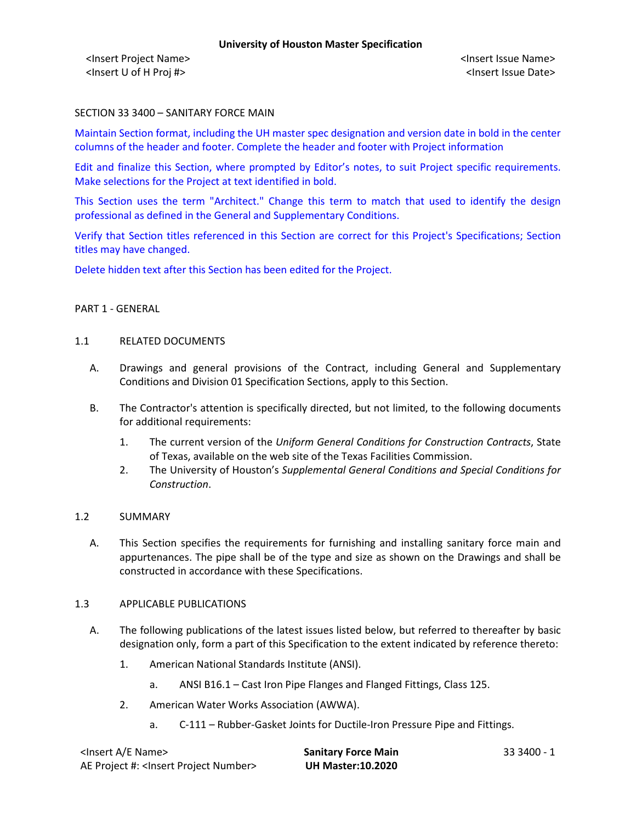<Insert Project Name> <Insert Issue Name> <Insert U of H Proj #> <Insert Issue Date>

### SECTION 33 3400 – SANITARY FORCE MAIN

Maintain Section format, including the UH master spec designation and version date in bold in the center columns of the header and footer. Complete the header and footer with Project information

Edit and finalize this Section, where prompted by Editor's notes, to suit Project specific requirements. Make selections for the Project at text identified in bold.

This Section uses the term "Architect." Change this term to match that used to identify the design professional as defined in the General and Supplementary Conditions.

Verify that Section titles referenced in this Section are correct for this Project's Specifications; Section titles may have changed.

Delete hidden text after this Section has been edited for the Project.

#### PART 1 - GENERAL

#### 1.1 RELATED DOCUMENTS

- A. Drawings and general provisions of the Contract, including General and Supplementary Conditions and Division 01 Specification Sections, apply to this Section.
- B. The Contractor's attention is specifically directed, but not limited, to the following documents for additional requirements:
	- 1. The current version of the *Uniform General Conditions for Construction Contracts*, State of Texas, available on the web site of the Texas Facilities Commission.
	- 2. The University of Houston's *Supplemental General Conditions and Special Conditions for Construction*.

### 1.2 SUMMARY

A. This Section specifies the requirements for furnishing and installing sanitary force main and appurtenances. The pipe shall be of the type and size as shown on the Drawings and shall be constructed in accordance with these Specifications.

### 1.3 APPLICABLE PUBLICATIONS

- A. The following publications of the latest issues listed below, but referred to thereafter by basic designation only, form a part of this Specification to the extent indicated by reference thereto:
	- 1. American National Standards Institute (ANSI).
		- a. ANSI B16.1 Cast Iron Pipe Flanges and Flanged Fittings, Class 125.
	- 2. American Water Works Association (AWWA).
		- a. C-111 [Rubber-Gasket Joints for Ductile-Iron Pressure Pipe and Fittings.](http://www.awwa.org/Publications/MainStreamArticle.cfm?ItemNumber=2534)

| <lnsert a="" e="" name=""></lnsert>                  | <b>Sanitary Force Main</b> | 33 3400 - 1 |
|------------------------------------------------------|----------------------------|-------------|
| AE Project #: <lnsert number="" project=""></lnsert> | <b>UH Master:10.2020</b>   |             |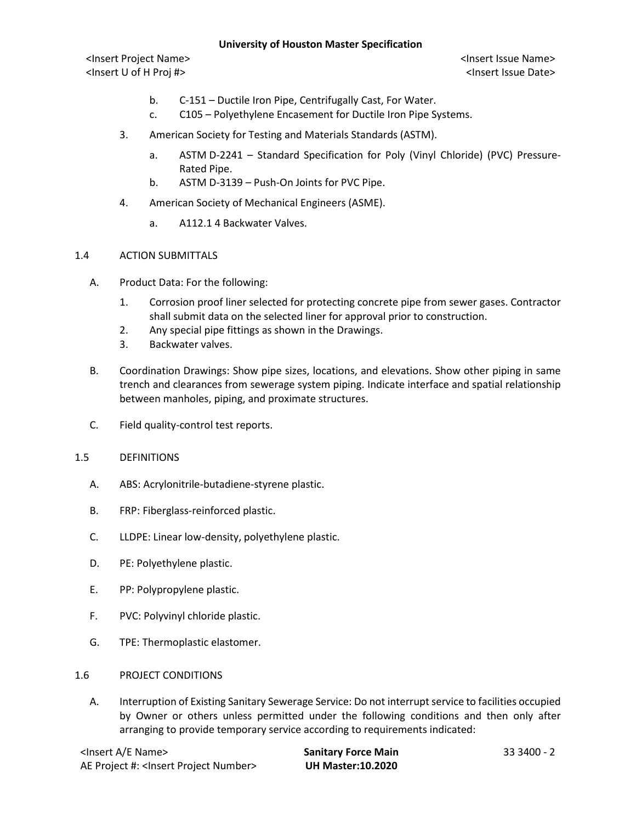## **University of Houston Master Specification**

<Insert Project Name> <Insert Issue Name> <Insert U of H Proj #> <Insert Issue Date>

- b. C-151 Ductile Iron Pipe, Centrifugally Cast, For Water.
- c. C105 Polyethylene Encasement for Ductile Iron Pipe Systems.
- 3. American Society for Testing and Materials Standards (ASTM).
	- a. ASTM D-2241 Standard Specification for Poly (Vinyl Chloride) (PVC) Pressure-Rated Pipe.
	- b. ASTM D-3139 Push-On Joints for PVC Pipe.
- 4. American Society of Mechanical Engineers (ASME).
	- a. A112.1 4 Backwater Valves.

### 1.4 ACTION SUBMITTALS

- A. Product Data: For the following:
	- 1. Corrosion proof liner selected for protecting concrete pipe from sewer gases. Contractor shall submit data on the selected liner for approval prior to construction.
	- 2. Any special pipe fittings as shown in the Drawings.
	- 3. Backwater valves.
- B. Coordination Drawings: Show pipe sizes, locations, and elevations. Show other piping in same trench and clearances from sewerage system piping. Indicate interface and spatial relationship between manholes, piping, and proximate structures.
- C. Field quality-control test reports.
- 1.5 DEFINITIONS
	- A. ABS: Acrylonitrile-butadiene-styrene plastic.
	- B. FRP: Fiberglass-reinforced plastic.
	- C. LLDPE: Linear low-density, polyethylene plastic.
	- D. PE: Polyethylene plastic.
	- E. PP: Polypropylene plastic.
	- F. PVC: Polyvinyl chloride plastic.
	- G. TPE: Thermoplastic elastomer.

### 1.6 PROJECT CONDITIONS

A. Interruption of Existing Sanitary Sewerage Service: Do not interrupt service to facilities occupied by Owner or others unless permitted under the following conditions and then only after arranging to provide temporary service according to requirements indicated:

<Insert A/E Name> **Sanitary Force Main** 33 3400 - 2 AE Project #: <Insert Project Number> **UH Master:10.2020**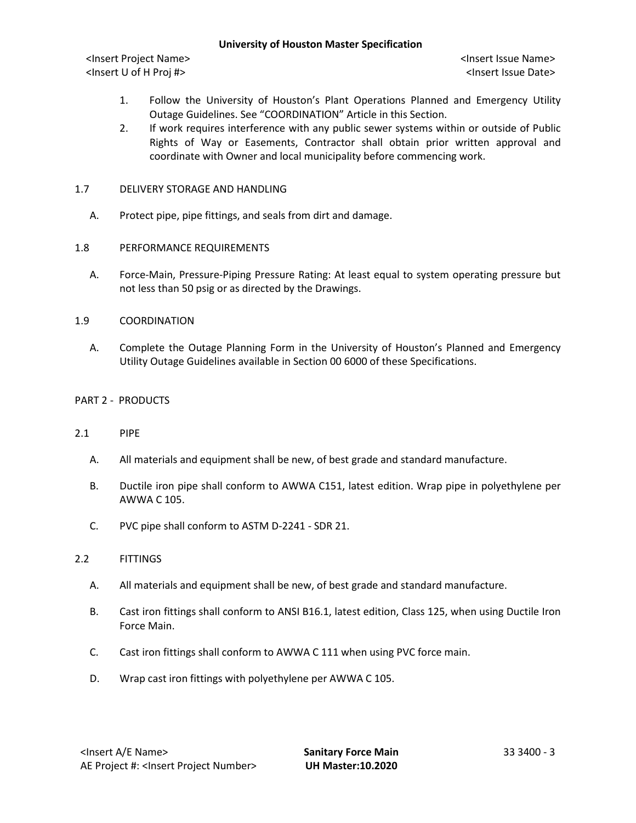### **University of Houston Master Specification**

<Insert Project Name> <Insert Issue Name> <Insert U of H Proj #> <Insert Issue Date>

- 1. Follow the University of Houston's Plant Operations Planned and Emergency Utility Outage Guidelines. See "COORDINATION" Article in this Section.
- 2. If work requires interference with any public sewer systems within or outside of Public Rights of Way or Easements, Contractor shall obtain prior written approval and coordinate with Owner and local municipality before commencing work.

## 1.7 DELIVERY STORAGE AND HANDLING

A. Protect pipe, pipe fittings, and seals from dirt and damage.

## 1.8 PERFORMANCE REQUIREMENTS

A. Force-Main, Pressure-Piping Pressure Rating: At least equal to system operating pressure but not less than 50 psig or as directed by the Drawings.

### 1.9 COORDINATION

A. Complete the Outage Planning Form in the University of Houston's Planned and Emergency Utility Outage Guidelines available in Section 00 6000 of these Specifications.

## PART 2 - PRODUCTS

- 2.1 PIPE
	- A. All materials and equipment shall be new, of best grade and standard manufacture.
	- B. Ductile iron pipe shall conform to AWWA C151, latest edition. Wrap pipe in polyethylene per AWWA C 105.
	- C. PVC pipe shall conform to ASTM D-2241 SDR 21.

### 2.2 FITTINGS

- A. All materials and equipment shall be new, of best grade and standard manufacture.
- B. Cast iron fittings shall conform to ANSI B16.1, latest edition, Class 125, when using Ductile Iron Force Main.
- C. Cast iron fittings shall conform to AWWA C 111 when using PVC force main.
- D. Wrap cast iron fittings with polyethylene per AWWA C 105.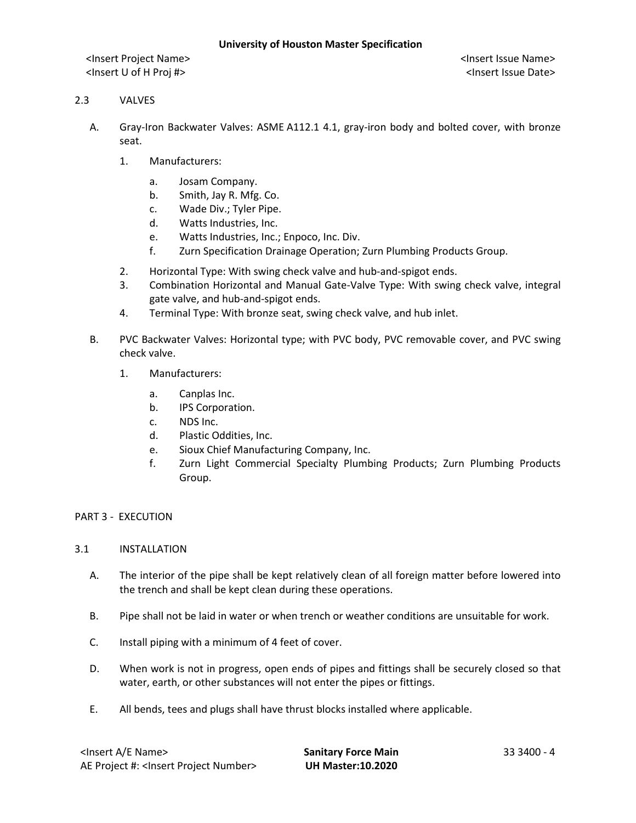<Insert Project Name> <Insert Issue Name> <Insert U of H Proj #> <Insert Issue Date>

## 2.3 VALVES

- A. Gray-Iron Backwater Valves: ASME A112.1 4.1, gray-iron body and bolted cover, with bronze seat.
	- 1. Manufacturers:
		- a. Josam Company.
		- b. Smith, Jay R. Mfg. Co.
		- c. Wade Div.; Tyler Pipe.
		- d. Watts Industries, Inc.
		- e. Watts Industries, Inc.; Enpoco, Inc. Div.
		- f. Zurn Specification Drainage Operation; Zurn Plumbing Products Group.
	- 2. Horizontal Type: With swing check valve and hub-and-spigot ends.
	- 3. Combination Horizontal and Manual Gate-Valve Type: With swing check valve, integral gate valve, and hub-and-spigot ends.
	- 4. Terminal Type: With bronze seat, swing check valve, and hub inlet.
- B. PVC Backwater Valves: Horizontal type; with PVC body, PVC removable cover, and PVC swing check valve.
	- 1. Manufacturers:
		- a. Canplas Inc.
		- b. IPS Corporation.
		- c. NDS Inc.
		- d. Plastic Oddities, Inc.
		- e. Sioux Chief Manufacturing Company, Inc.
		- f. Zurn Light Commercial Specialty Plumbing Products; Zurn Plumbing Products Group.

# PART 3 - EXECUTION

### 3.1 INSTALLATION

- A. The interior of the pipe shall be kept relatively clean of all foreign matter before lowered into the trench and shall be kept clean during these operations.
- B. Pipe shall not be laid in water or when trench or weather conditions are unsuitable for work.
- C. Install piping with a minimum of 4 feet of cover.
- D. When work is not in progress, open ends of pipes and fittings shall be securely closed so that water, earth, or other substances will not enter the pipes or fittings.
- E. All bends, tees and plugs shall have thrust blocks installed where applicable.